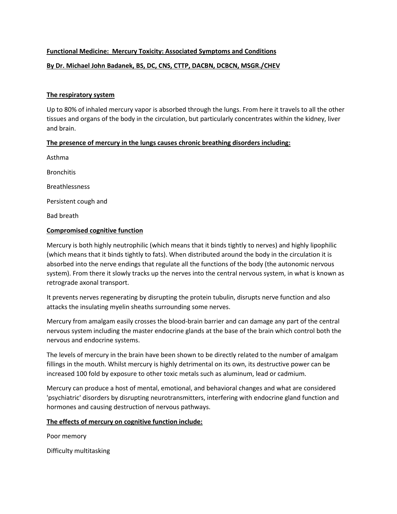# **Functional Medicine: Mercury Toxicity: Associated Symptoms and Conditions**

# **By Dr. Michael John Badanek, BS, DC, CNS, CTTP, DACBN, DCBCN, MSGR./CHEV**

## **The respiratory system**

Up to 80% of inhaled mercury vapor is absorbed through the lungs. From here it travels to all the other tissues and organs of the body in the circulation, but particularly concentrates within the kidney, liver and brain.

# **The presence of mercury in the lungs causes chronic breathing disorders including:**

Asthma **Bronchitis** Breathlessness Persistent cough and Bad breath

## **Compromised cognitive function**

Mercury is both highly neutrophilic (which means that it binds tightly to nerves) and highly lipophilic (which means that it binds tightly to fats). When distributed around the body in the circulation it is absorbed into the nerve endings that regulate all the functions of the body (the autonomic nervous system). From there it slowly tracks up the nerves into the central nervous system, in what is known as retrograde axonal transport.

It prevents nerves regenerating by disrupting the protein tubulin, disrupts nerve function and also attacks the insulating myelin sheaths surrounding some nerves.

Mercury from amalgam easily crosses the blood-brain barrier and can damage any part of the central nervous system including the master endocrine glands atthe base of the brain which control both the nervous and endocrine systems.

The levels of mercury in the brain have been shown to be directly related to the number of amalgam fillings in the mouth. Whilst mercury is highly detrimental on its own, its destructive power can be increased 100 fold by exposure to other toxic metals such as aluminum, lead or cadmium.

Mercury can produce a host of mental, emotional, and behavioral changes and what are considered 'psychiatric' disorders by disrupting neurotransmitters, interfering with endocrine gland function and hormones and causing destruction of nervous pathways.

#### **The effects of mercury on cognitive function include:**

Poor memory

Difficulty multitasking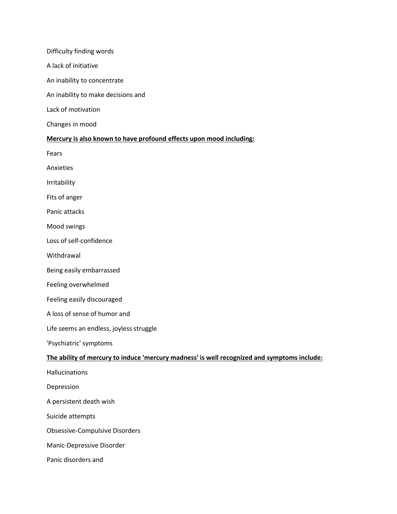#### Difficulty finding words

A lack of initiative

An inability to concentrate

An inability to make decisions and

Lack of motivation

Changes in mood

## **Mercury is also known to have profound effects upon mood including:**

Fears

Anxieties

Irritability

Fits of anger

Panic attacks

Mood swings

Loss of self-confidence

Withdrawal

Being easily embarrassed

Feeling overwhelmed

Feeling easily discouraged

A loss of sense of humor and

Life seems an endless, joyless struggle

'Psychiatric' symptoms

#### **The ability of mercury to induce 'mercury madness' is well recognized and symptoms include:**

**Hallucinations** 

Depression

A persistent death wish

Suicide attempts

Obsessive-Compulsive Disorders

Manic-Depressive Disorder

Panic disorders and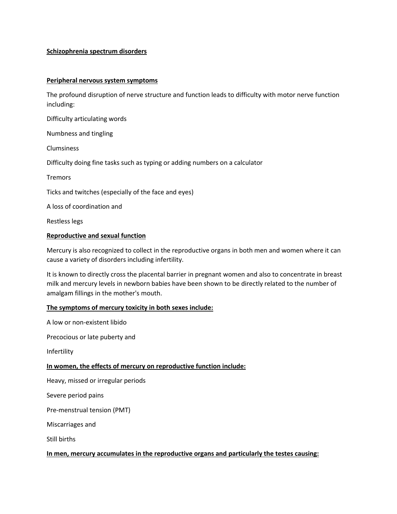# **Schizophrenia spectrum disorders**

#### **Peripheral nervous system symptoms**

The profound disruption of nerve structure and function leads to difficulty with motor nerve function including:

Difficulty articulating words

Numbness and tingling

Clumsiness

Difficulty doing fine tasks such as typing or adding numbers on a calculator

Tremors

Ticks and twitches (especially of the face and eyes)

A loss of coordination and

Restless legs

#### **Reproductive and sexual function**

Mercury is also recognized to collect in the reproductive organs in both men and women where it can cause a variety of disorders including infertility.

It is known to directly cross the placental barrier in pregnant women and also to concentrate in breast milk and mercury levels in newborn babies have been shown to be directly related to the number of amalgam fillings in the mother's mouth.

#### **The symptoms of mercury toxicity in both sexes include:**

A low or non-existent libido

Precocious or late puberty and

Infertility

#### **In women, the effects of mercury on reproductive function include:**

Heavy, missed or irregular periods

Severe period pains

Pre-menstrual tension (PMT)

Miscarriages and

Still births

#### **In men, mercury accumulates in the reproductive organs and particularly the testes causing:**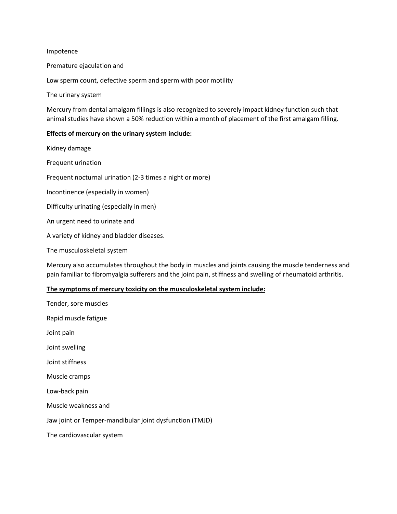#### Impotence

Premature ejaculation and

Low sperm count, defective sperm and sperm with poor motility

The urinary system

Mercury from dental amalgam fillings is also recognized to severely impact kidney function such that animal studies have shown a 50% reduction within a month of placement of the first amalgam filling.

#### **Effects of mercury on the urinary system include:**

Kidney damage Frequent urination Frequent nocturnal urination (2-3 times a night or more) Incontinence (especially in women) Difficulty urinating (especially in men) An urgent need to urinate and A variety of kidney and bladder diseases.

The musculoskeletal system

Mercury also accumulates throughout the body in muscles and joints causing the muscle tenderness and pain familiar to fibromyalgia sufferers and the joint pain, stiffness and swelling of rheumatoid arthritis.

## **The symptoms of mercury toxicity on the musculoskeletal system include:**

| Tender, sore muscles                                    |
|---------------------------------------------------------|
| Rapid muscle fatigue                                    |
| Joint pain                                              |
| Joint swelling                                          |
| Joint stiffness                                         |
| Muscle cramps                                           |
| Low-back pain                                           |
| Muscle weakness and                                     |
| Jaw joint or Temper-mandibular joint dysfunction (TMJD) |
| The cardiovascular system                               |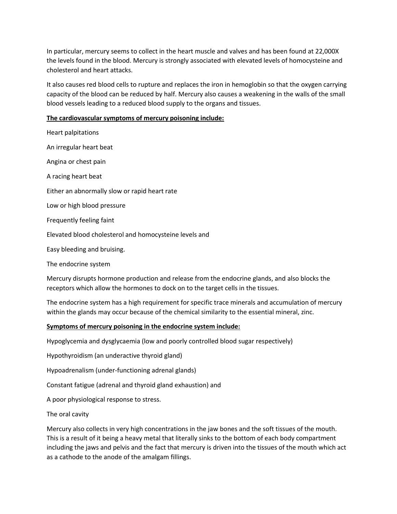In particular, mercury seems to collect in the heart muscle and valves and has been found at22,000X the levels found in the blood. Mercury is strongly associated with elevated levels of homocysteine and cholesterol and heart attacks.

It also causes red blood cells to rupture and replaces the iron in hemoglobin so that the oxygen carrying capacity of the blood can be reduced by half. Mercury also causes a weakening in the walls of the small blood vessels leading to a reduced blood supply to the organs and tissues.

# **The cardiovascular symptoms of mercury poisoning include:**

| <b>Heart palpitations</b>                              |
|--------------------------------------------------------|
| An irregular heart beat                                |
| Angina or chest pain                                   |
| A racing heart beat                                    |
| Either an abnormally slow or rapid heart rate          |
| Low or high blood pressure                             |
| Frequently feeling faint                               |
| Elevated blood cholesterol and homocysteine levels and |
| Easy bleeding and bruising.                            |
| The endocrine system                                   |

Mercury disrupts hormone production and release from the endocrine glands, and also blocks the receptors which allow the hormones to dock on to the target cells in the tissues.

The endocrine system has a high requirement for specific trace minerals and accumulation of mercury within the glands may occur because of the chemical similarity to the essential mineral, zinc.

# **Symptoms of mercury poisoning in the endocrine system include:**

Hypoglycemia and dysglycaemia (low and poorly controlled blood sugar respectively)

Hypothyroidism (an underactive thyroid gland)

Hypoadrenalism (under-functioning adrenal glands)

Constant fatigue (adrenal and thyroid gland exhaustion) and

A poor physiological response to stress.

The oral cavity

Mercury also collects in very high concentrations in the jaw bones and the soft tissues of the mouth. This is a result of it being a heavy metal that literally sinks to the bottom of each body compartment including the jaws and pelvis and the fact that mercury is driven into the tissues of the mouth which act as a cathode to the anode of the amalgam fillings.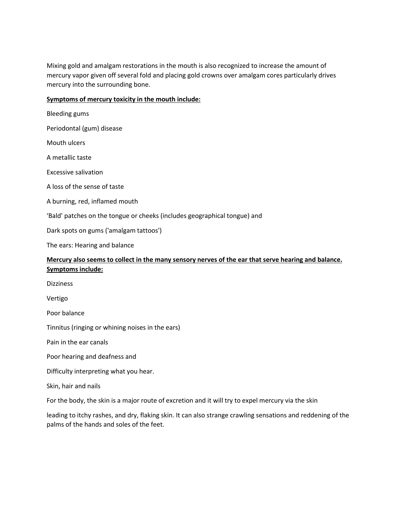Mixing gold and amalgam restorations in the mouth is also recognized to increase the amount of mercury vapor given off several fold and placing gold crowns over amalgam cores particularly drives mercury into the surrounding bone.

# **Symptoms of mercury toxicity in the mouth include:**

| <b>Bleeding gums</b>                                                                                |
|-----------------------------------------------------------------------------------------------------|
| Periodontal (gum) disease                                                                           |
| Mouth ulcers                                                                                        |
| A metallic taste                                                                                    |
| <b>Excessive salivation</b>                                                                         |
| A loss of the sense of taste                                                                        |
| A burning, red, inflamed mouth                                                                      |
| 'Bald' patches on the tongue or cheeks (includes geographical tongue) and                           |
| Dark spots on gums ('amalgam tattoos')                                                              |
| The ears: Hearing and balance                                                                       |
| Mercury also seems to collect in the many sensory nerves of the ear that serve hearing and balance. |
| <b>Symptoms include:</b>                                                                            |
| <b>Dizziness</b>                                                                                    |
| Vertigo                                                                                             |
| Poor balance                                                                                        |
| Tinnitus (ringing or whining noises in the ears)                                                    |
| Pain in the ear canals                                                                              |
| Poor hearing and deafness and                                                                       |
| Difficulty interpreting what you hear.                                                              |
| Skin, hair and nails                                                                                |
| For the body, the skin is a major route of excretion and it will try to expel mercury via the skin  |

leading to itchy rashes, and dry, flaking skin. It can also strange crawling sensations and reddening of the palms of the hands and soles of the feet.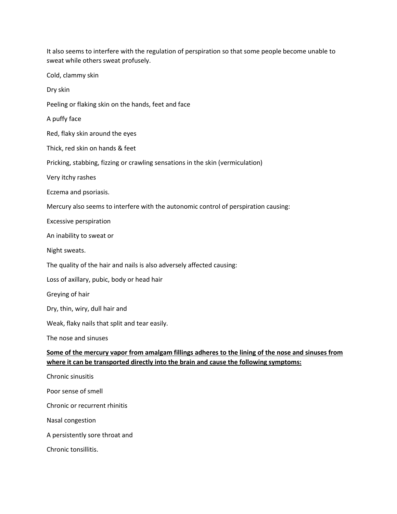It also seems to interfere with the regulation of perspiration so that some people become unable to sweat while others sweat profusely. Cold, clammy skin Dry skin Peeling or flaking skin on the hands, feet and face A puffy face Red, flaky skin around the eyes Thick, red skin on hands & feet Pricking, stabbing, fizzing or crawling sensations in the skin (vermiculation) Very itchy rashes Eczema and psoriasis. Mercury also seems to interfere with the autonomic control of perspiration causing: Excessive perspiration An inability to sweat or Night sweats. The quality of the hair and nails is also adversely affected causing: Loss of axillary, pubic, body or head hair Greying of hair Dry, thin, wiry, dull hair and Weak, flaky nails that split and tear easily. The nose and sinuses **Some of the mercury vapor from amalgam fillings adheres to the lining ofthe nose and sinuses from where it can be transported directly into the brain and cause the following symptoms:** Chronic sinusitis Poor sense of smell Chronic or recurrent rhinitis Nasal congestion A persistently sore throat and Chronic tonsillitis.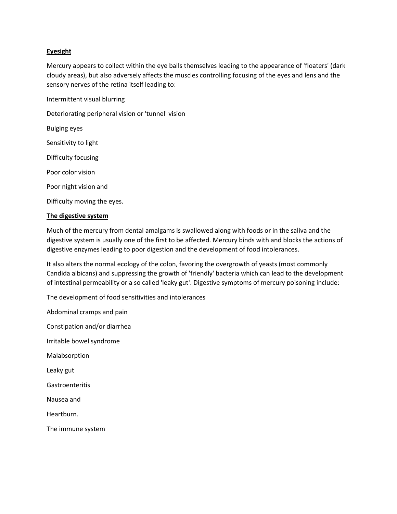## **Eyesight**

Mercury appears to collect within the eye balls themselves leading to the appearance of 'floaters' (dark cloudy areas), but also adversely affects the muscles controlling focusing of the eyesand lens and the sensory nerves of the retina itself leading to:

Intermittent visual blurring

Deteriorating peripheral vision or 'tunnel' vision

Bulging eyes

Sensitivity to light

Difficulty focusing

Poor color vision

Poor night vision and

Difficulty moving the eyes.

## **The digestive system**

Much of the mercury from dental amalgams is swallowed along with foods or in the saliva and the digestive system is usually one of the first to be affected. Mercury binds with and blocks the actions of digestive enzymes leading to poor digestion and the development of food intolerances.

It also alters the normal ecology of the colon, favoring the overgrowth of yeasts (most commonly Candida albicans) and suppressing the growth of 'friendly' bacteria which can lead to the development of intestinal permeability or a so called 'leaky gut'. Digestive symptoms of mercury poisoning include:

The development of food sensitivities and intolerances

Abdominal cramps and pain Constipation and/or diarrhea Irritable bowel syndrome Malabsorption Leaky gut **Gastroenteritis** Nausea and Heartburn.

The immune system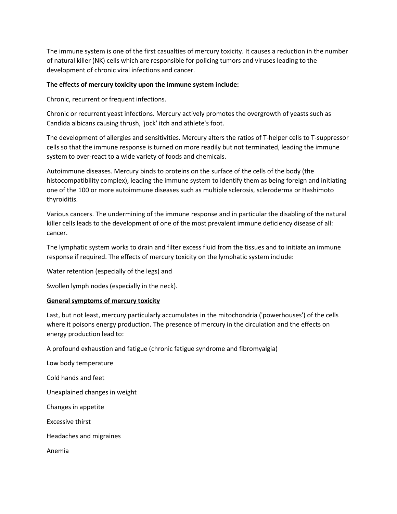The immune system is one of the first casualties of mercury toxicity. It causes a reduction in the number of natural killer (NK) cells which are responsible for policing tumors and viruses leading to the development of chronic viral infections and cancer.

# **The effects of mercury toxicity upon the immune system include:**

Chronic, recurrent or frequent infections.

Chronic or recurrent yeast infections. Mercury actively promotes the overgrowth of yeasts such as Candida albicans causing thrush, 'jock' itch and athlete's foot.

The development of allergies and sensitivities. Mercury alters the ratios of T-helper cells to T-suppressor cells so that the immune response is turned on more readily but not terminated, leading the immune system to over-react to a wide variety of foods and chemicals.

Autoimmune diseases. Mercury binds to proteins on the surface of the cells of the body (the histocompatibility complex), leading the immune system to identify them as being foreign and initiating one of the 100 ormore autoimmune diseases such as multiple sclerosis, scleroderma or Hashimoto thyroiditis.

Various cancers. The undermining of the immune response and in particular the disabling of the natural killer cells leads to the development of one of the most prevalent immune deficiency disease of all: cancer.

The lymphatic system works to drain and filter excess fluid from the tissues and to initiate an immune response if required. The effects of mercury toxicity on the lymphatic system include:

Water retention (especially of the legs) and

Swollen lymph nodes (especially in the neck).

# **General symptoms of mercury toxicity**

Last, but not least, mercury particularly accumulates in the mitochondria ('powerhouses') of the cells where it poisons energy production. The presence of mercury in the circulation and the effects on energy production lead to:

A profound exhaustion and fatigue (chronic fatigue syndrome and fibromyalgia)

Low body temperature Cold hands and feet Unexplained changes in weight Changes in appetite Excessive thirst Headaches and migraines Anemia